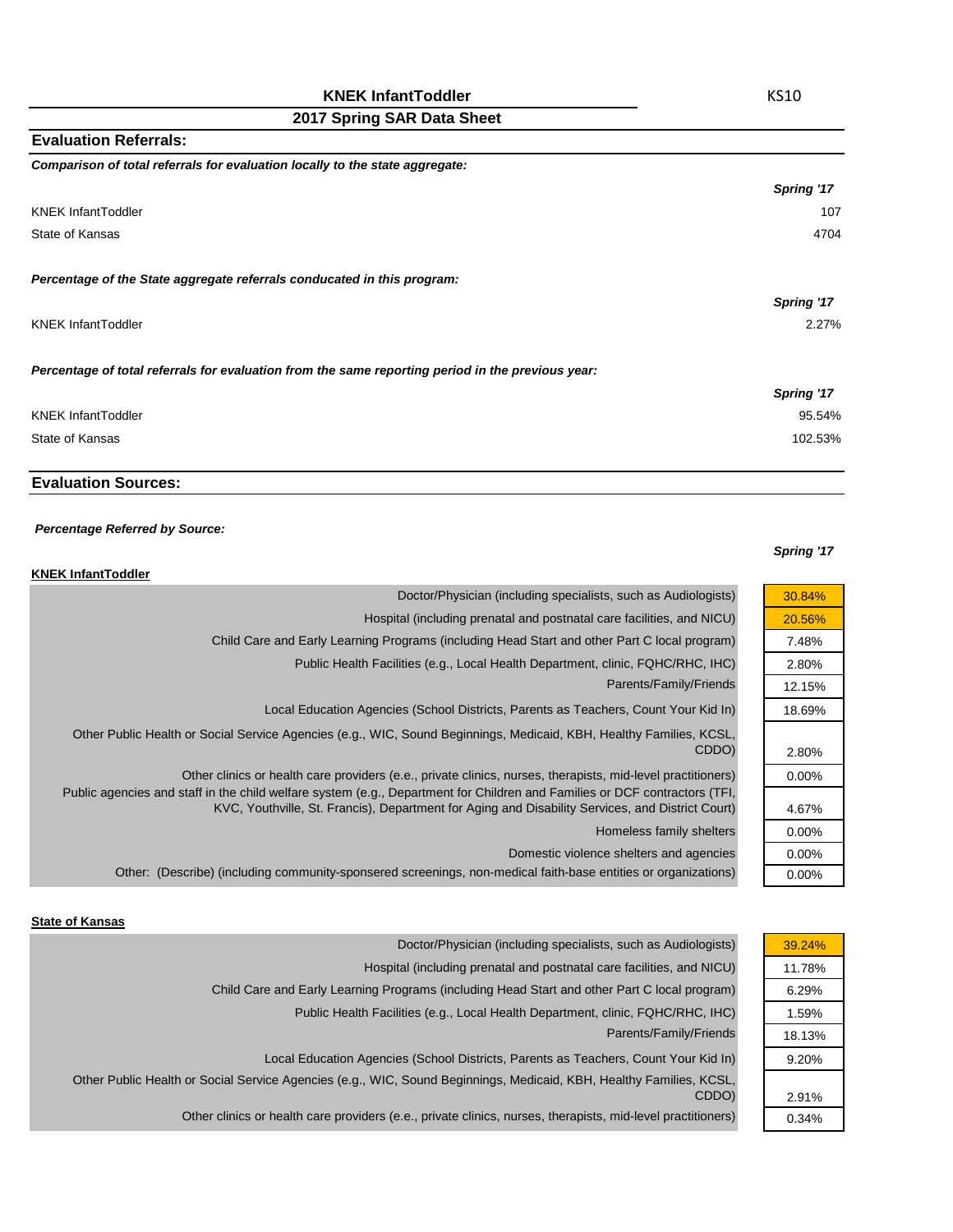| Comparison of total referrals for evaluation locally to the state aggregate:                      |            |
|---------------------------------------------------------------------------------------------------|------------|
|                                                                                                   | Spring '17 |
| <b>KNEK InfantToddler</b>                                                                         | 107        |
| State of Kansas                                                                                   | 4704       |
|                                                                                                   |            |
| Percentage of the State aggregate referrals conducated in this program:                           |            |
|                                                                                                   | Spring '17 |
| KNEK InfantToddler                                                                                | 2.27%      |
|                                                                                                   |            |
| Percentage of total referrals for evaluation from the same reporting period in the previous year: |            |
|                                                                                                   | Spring '17 |
| KNEK InfantToddler                                                                                | 95.54%     |
| State of Kansas                                                                                   | 102.53%    |
|                                                                                                   |            |

# **Evaluation Sources:**

**Evaluation Referrals:**

#### *Percentage Referred by Source:*

#### **KNEK InfantToddler**

| 30.84%   | Doctor/Physician (including specialists, such as Audiologists)                                                                                                                                                                 |
|----------|--------------------------------------------------------------------------------------------------------------------------------------------------------------------------------------------------------------------------------|
| 20.56%   | Hospital (including prenatal and postnatal care facilities, and NICU)                                                                                                                                                          |
| 7.48%    | Child Care and Early Learning Programs (including Head Start and other Part C local program)                                                                                                                                   |
| 2.80%    | Public Health Facilities (e.g., Local Health Department, clinic, FQHC/RHC, IHC)                                                                                                                                                |
| 12.15%   | Parents/Family/Friends                                                                                                                                                                                                         |
| 18.69%   | Local Education Agencies (School Districts, Parents as Teachers, Count Your Kid In)                                                                                                                                            |
| 2.80%    | Other Public Health or Social Service Agencies (e.g., WIC, Sound Beginnings, Medicaid, KBH, Healthy Families, KCSL,<br>CDDO)                                                                                                   |
| $0.00\%$ | Other clinics or health care providers (e.e., private clinics, nurses, therapists, mid-level practitioners)                                                                                                                    |
| 4.67%    | Public agencies and staff in the child welfare system (e.g., Department for Children and Families or DCF contractors (TFI,<br>KVC, Youthville, St. Francis), Department for Aging and Disability Services, and District Court) |
| $0.00\%$ | Homeless family shelters                                                                                                                                                                                                       |
| $0.00\%$ | Domestic violence shelters and agencies                                                                                                                                                                                        |
| 0.00%    | Other: (Describe) (including community-sponsered screenings, non-medical faith-base entities or organizations)                                                                                                                 |
|          |                                                                                                                                                                                                                                |

## **State of Kansas**

| Doctor/Physician (including specialists, such as Audiologists)                                                      | 39.24% |
|---------------------------------------------------------------------------------------------------------------------|--------|
| Hospital (including prenatal and postnatal care facilities, and NICU)                                               | 11.78% |
| Child Care and Early Learning Programs (including Head Start and other Part C local program)                        | 6.29%  |
| Public Health Facilities (e.g., Local Health Department, clinic, FQHC/RHC, IHC)                                     | 1.59%  |
| Parents/Family/Friends                                                                                              | 18.13% |
| Local Education Agencies (School Districts, Parents as Teachers, Count Your Kid In)                                 | 9.20%  |
| Other Public Health or Social Service Agencies (e.g., WIC, Sound Beginnings, Medicaid, KBH, Healthy Families, KCSL, |        |
| CDDO)                                                                                                               | 2.91%  |
| Other clinics or health care providers (e.e., private clinics, nurses, therapists, mid-level practitioners)         | 0.34%  |

## *Spring '17*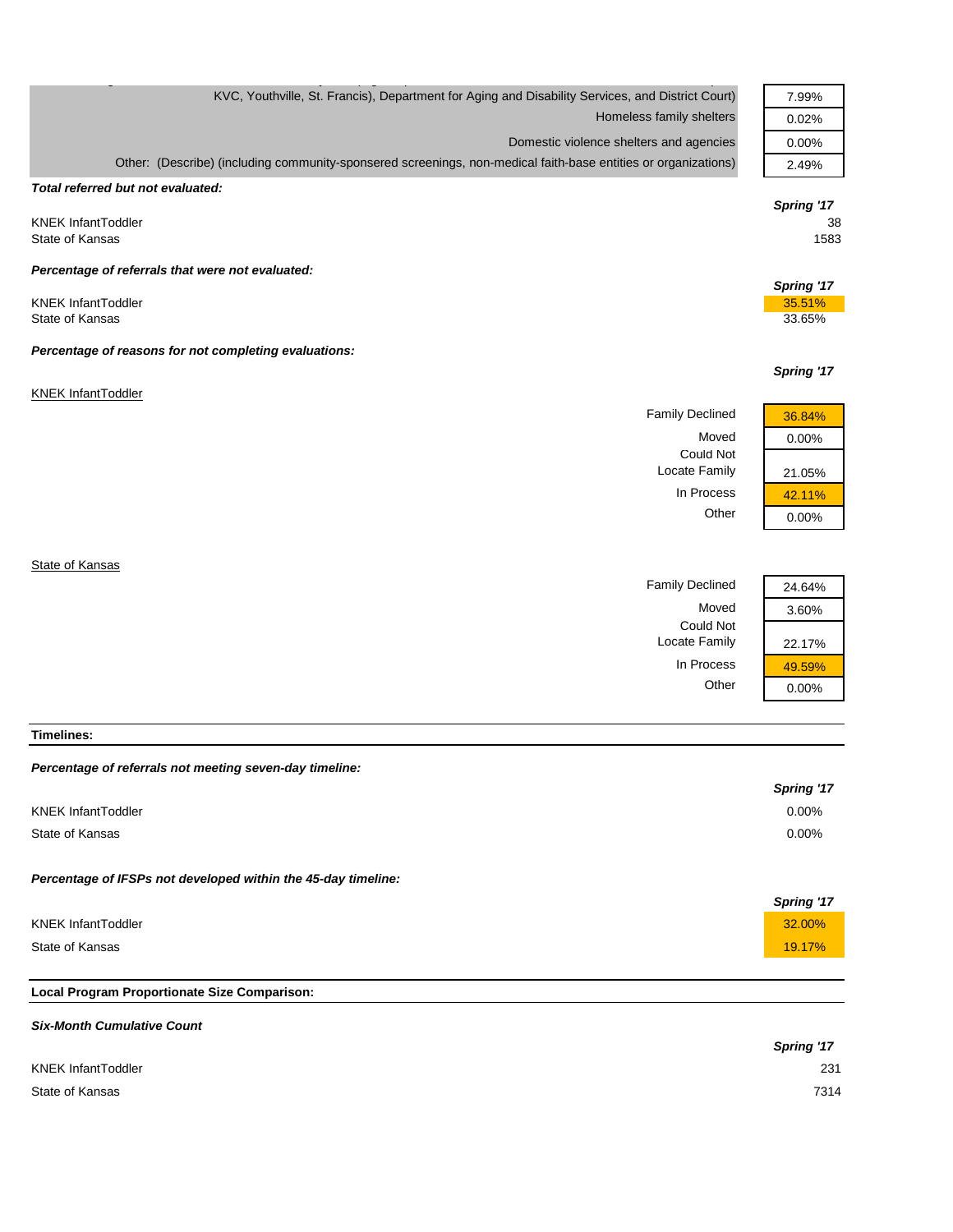| 7.99%                    |
|--------------------------|
| 0.02%                    |
| 0.00%                    |
| 2.49%                    |
|                          |
| Spring '17<br>38<br>1583 |
|                          |
| Spring '17               |
| 35.51%                   |
| 33.65%                   |
|                          |
| Spring '17               |
|                          |
| 36.84%                   |
| 0.00%                    |
|                          |
|                          |
| 21.05%                   |
| 42.11%                   |
| 0.00%                    |
|                          |
| 24.64%                   |
|                          |

#### **Timelines:**

| Percentage of referrals not meeting seven-day timeline: |  |  |  |  |
|---------------------------------------------------------|--|--|--|--|
|---------------------------------------------------------|--|--|--|--|

|                                                               | Spring '17 |
|---------------------------------------------------------------|------------|
| <b>KNEK InfantToddler</b>                                     | $0.00\%$   |
| State of Kansas                                               | $0.00\%$   |
| Percentage of IFSPs not developed within the 45-day timeline: | Spring '17 |
| <b>KNEK InfantToddler</b>                                     | 32.00%     |
| State of Kansas                                               | 19.17%     |
|                                                               |            |

Could Not

Locate Family 22.17%

In Process  $\frac{49.59\%}{0.00\%}$ 

 $0.00%$ 

# **Local Program Proportionate Size Comparison:**

| <b>Six-Month Cumulative Count</b> |            |
|-----------------------------------|------------|
|                                   | Spring '17 |
| <b>KNEK InfantToddler</b>         | 231        |
| State of Kansas                   | 7314       |